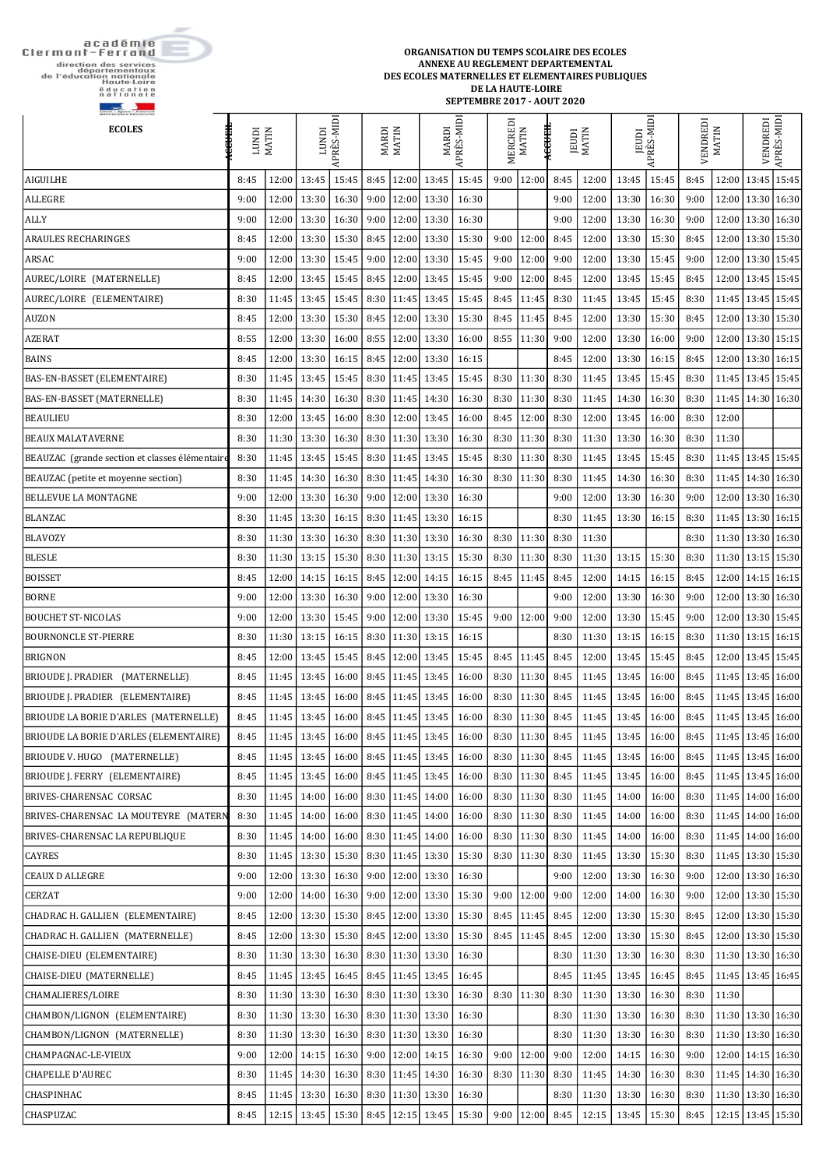académie<br>Clermont-Ferrand

direction des services<br>départementaux<br>de l'éducation nationale<br>Haute-Loire<br>Education<br>nationale

 $\sim$ 

ORGANISATION DU TEMPS SCOLAIRE DES ECOLES ANNEXE AU REGLEMENT DEPARTEMENTAL DES ECOLES MATERNELLES ET ELEMENTAIRES PUBLIQUES DE LA HAUTE-LOIRE **SEPTEMBRE 2017 - AOUT 2020** 

| <b>ECOLES</b>                                  | <b>HHASE</b><br><b>ICINDI</b> | <b>MATIN</b> | <b>IGND1</b>    | APRÈS-MIDI   |      | <b>MARDI</b><br>MATIN  | MARDI                                            | APRÈS-MIDI | MERCREDI | <b>MATIN</b>          | <b>HEASE</b><br><b>JEUDI</b> | <b>MATIN</b> | JEUDI                                                                                                                                                                                                         | APRÈS-MIDI      | VENDREDI | <b>MATIN</b>          | VENDREDI              | APRÈS-MIDI |
|------------------------------------------------|-------------------------------|--------------|-----------------|--------------|------|------------------------|--------------------------------------------------|------------|----------|-----------------------|------------------------------|--------------|---------------------------------------------------------------------------------------------------------------------------------------------------------------------------------------------------------------|-----------------|----------|-----------------------|-----------------------|------------|
| <b>AIGUILHE</b>                                | 8:45                          | 12:00        | 13:45           | 15:45        | 8:45 | 12:00                  | 13:45                                            | 15:45      | 9:00     | 12:00                 | 8:45                         | 12:00        | 13:45                                                                                                                                                                                                         | 15:45           | 8:45     | 12:00                 | 13:45 15:45           |            |
| <b>ALLEGRE</b>                                 | 9:00                          | 12:00        | 13:30           | 16:30        | 9:00 |                        | $12:00$ 13:30                                    | 16:30      |          |                       | 9:00                         | 12:00        | 13:30                                                                                                                                                                                                         | 16:30           | 9:00     |                       | 12:00   13:30   16:30 |            |
| <b>ALLY</b>                                    | 9:00                          | 12:00        | 13:30           | 16:30        | 9:00 | 12:00                  | 13:30                                            | 16:30      |          |                       | 9:00                         | 12:00        | 13:30                                                                                                                                                                                                         | 16:30           | 9:00     |                       | 12:00   13:30   16:30 |            |
| <b>ARAULES RECHARINGES</b>                     | 8:45                          | 12:00        | 13:30           | 15:30        | 8:45 |                        | $12:00$ 13:30                                    | 15:30      | 9:00     | 12:00                 | 8:45                         | 12:00        | 13:30                                                                                                                                                                                                         | 15:30           | 8:45     |                       | 12:00   13:30   15:30 |            |
| ARSAC                                          | 9:00                          | 12:00        | 13:30           | 15:45        | 9:00 |                        | $12:00$ 13:30                                    | 15:45      | 9:00     | 12:00                 | 9:00                         | 12:00        | 13:30                                                                                                                                                                                                         | 15:45           | 9:00     |                       | 12:00   13:30   15:45 |            |
| AUREC/LOIRE (MATERNELLE)                       | 8:45                          | 12:00        | 13:45           | 15:45        | 8:45 |                        | 12:00 13:45                                      | 15:45      | 9:00     | 12:00                 | 8:45                         | 12:00        | 13:45                                                                                                                                                                                                         | 15:45           | 8:45     |                       | 12:00   13:45   15:45 |            |
| AUREC/LOIRE (ELEMENTAIRE)                      | 8:30                          | 11:45        | 13:45           | 15:45        |      |                        | $8:30$   11:45   13:45                           | 15:45      | 8:45     | 11:45                 | 8:30                         | 11:45        | 13:45                                                                                                                                                                                                         | 15:45           | 8:30     |                       | 11:45   13:45   15:45 |            |
| <b>AUZON</b>                                   | 8:45                          |              | 12:00   13:30   | $15:30$ 8:45 |      |                        | $12:00$ 13:30                                    | 15:30      | 8:45     | 11:45                 | 8:45                         | 12:00        | 13:30                                                                                                                                                                                                         | 15:30           | 8:45     |                       | 12:00   13:30   15:30 |            |
| <b>AZERAT</b>                                  | 8:55                          | 12:00        | 13:30           | 16:00        | 8:55 |                        | 12:00 13:30                                      | 16:00      | 8:55     | 11:30                 | 9:00                         | 12:00        | 13:30                                                                                                                                                                                                         | 16:00           | 9:00     | 12:00                 | $13:30$ 15:15         |            |
| <b>BAINS</b>                                   | 8:45                          | 12:00        | 13:30           | $16:15$ 8:45 |      |                        | $12:00$ 13:30                                    | 16:15      |          |                       | 8:45                         | 12:00        | 13:30                                                                                                                                                                                                         | 16:15           | 8:45     |                       | 12:00   13:30   16:15 |            |
| BAS-EN-BASSET (ELEMENTAIRE)                    | 8:30                          | 11:45        | 13:45           | 15:45        |      |                        | 8:30   11:45   13:45                             | 15:45      | 8:30     | 11:30                 | 8:30                         | 11:45        | 13:45                                                                                                                                                                                                         | 15:45           | 8:30     |                       | 11:45   13:45   15:45 |            |
| <b>BAS-EN-BASSET (MATERNELLE)</b>              | 8:30                          | 11:45        | 14:30           | 16:30        |      |                        | $8:30$   11:45   14:30                           | 16:30      | 8:30     | 11:30                 | 8:30                         | 11:45        | 14:30                                                                                                                                                                                                         | 16:30           | 8:30     | 11:45                 | 14:30 16:30           |            |
| <b>BEAULIEU</b>                                | 8:30                          | 12:00        | 13:45           | 16:00        |      |                        | 8:30   12:00   13:45                             | 16:00      | 8:45     | 12:00                 | 8:30                         | 12:00        | 13:45                                                                                                                                                                                                         | 16:00           | 8:30     | 12:00                 |                       |            |
| <b>BEAUX MALATAVERNE</b>                       | 8:30                          |              | $11:30$ 13:30   | 16:30        | 8:30 |                        | $11:30$ 13:30                                    | 16:30      | 8:30     | 11:30                 | 8:30                         | 11:30        | 13:30                                                                                                                                                                                                         | 16:30           | 8:30     | 11:30                 |                       |            |
| BEAUZAC (grande section et classes élémentaire | 8:30                          | 11:45        | 13:45           | 15:45        |      |                        | $8:30$   11:45   13:45                           | 15:45      | 8:30     | 11:30                 | 8:30                         | 11:45        | 13:45                                                                                                                                                                                                         | 15:45           | 8:30     |                       | 11:45   13:45   15:45 |            |
| BEAUZAC (petite et moyenne section)            | 8:30                          | 11:45        | 14:30           | 16:30        |      |                        | $8:30$   11:45   14:30                           | 16:30      | 8:30     | 11:30                 | 8:30                         | 11:45        | 14:30                                                                                                                                                                                                         | 16:30           | 8:30     |                       | 11:45   14:30   16:30 |            |
| <b>BELLEVUE LA MONTAGNE</b>                    | 9:00                          | 12:00        | 13:30           | 16:30        | 9:00 |                        | $12:00$ 13:30                                    | 16:30      |          |                       | 9:00                         | 12:00        | 13:30                                                                                                                                                                                                         | 16:30           | 9:00     | 12:00                 | 13:30 16:30           |            |
| <b>BLANZAC</b>                                 | 8:30                          |              | 11:45 13:30     |              |      |                        | $16:15$   8:30   11:45   13:30                   | 16:15      |          |                       | 8:30                         | 11:45        | 13:30                                                                                                                                                                                                         | 16:15           | 8:30     |                       | 11:45   13:30   16:15 |            |
| <b>BLAVOZY</b>                                 | 8:30                          | 11:30        | 13:30           | 16:30        |      |                        | $8:30$   11:30   13:30                           | 16:30      | 8:30     | 11:30                 | 8:30                         | 11:30        |                                                                                                                                                                                                               |                 | 8:30     |                       | 11:30   13:30   16:30 |            |
| <b>BLESLE</b>                                  | 8:30                          |              | $11:30$ 13:15   |              |      |                        | $15:30$   8:30   11:30   13:15   15:30           |            |          | $8:30$   11:30 $8:30$ |                              | 11:30        |                                                                                                                                                                                                               | $13:15$   15:30 | 8:30     | 11:30   13:15   15:30 |                       |            |
| <b>BOISSET</b>                                 | 8:45                          |              | 12:00 14:15     |              |      |                        | 16:15   8:45   12:00   14:15                     | 16:15      |          | $8:45$   11:45        | 8:45                         | 12:00        | 14:15                                                                                                                                                                                                         | 16:15           | 8:45     |                       | 12:00 14:15 16:15     |            |
| <b>BORNE</b>                                   | 9:00                          |              | 12:00   13:30   | 16:30        |      |                        | $\vert$ 9:00 $\vert$ 12:00 $\vert$ 13:30 $\vert$ | 16:30      |          |                       | 9:00                         | 12:00        | 13:30                                                                                                                                                                                                         | 16:30           | 9:00     |                       | 12:00   13:30   16:30 |            |
| <b>BOUCHET ST-NICOLAS</b>                      | 9:00                          | 12:00        | 13:30           | 15:45        |      |                        | $9:00$   12:00   13:30                           | 15:45      | 9:00     | 12:00                 | 9:00                         | 12:00        | 13:30                                                                                                                                                                                                         | 15:45           | 9:00     |                       | 12:00   13:30   15:45 |            |
| <b>BOURNONCLE ST-PIERRE</b>                    | 8:30                          |              | $11:30$ 13:15   |              |      |                        | 16:15   8:30   11:30   13:15                     | 16:15      |          |                       | 8:30                         | 11:30        | 13:15                                                                                                                                                                                                         | 16:15           | 8:30     |                       | 11:30   13:15   16:15 |            |
| <b>BRIGNON</b>                                 | 8:45                          |              | 12:00 13:45     | 15:45        | 8:45 |                        | $12:00$ 13:45                                    | 15:45      | 8:45     | 11:45                 | 8:45                         | 12:00        | 13:45                                                                                                                                                                                                         | 15:45           | 8:45     |                       | 12:00   13:45   15:45 |            |
| BRIOUDE J. PRADIER (MATERNELLE)                | 8:45                          |              | 11:45 13:45     |              |      |                        | 16:00   8:45   11:45   13:45                     | 16:00      |          | $8:30$   11:30        | 8:45                         | 11:45        | 13:45                                                                                                                                                                                                         | 16:00           | 8:45     |                       | 11:45   13:45   16:00 |            |
| BRIOUDE J. PRADIER (ELEMENTAIRE)               | 8:45                          |              | $11:45$ 13:45   | 16:00        |      |                        | $8:45$   11:45   13:45                           | 16:00      | 8:30     | 11:30                 | 8:45                         | 11:45        | 13:45                                                                                                                                                                                                         | 16:00           | 8:45     |                       | 11:45   13:45   16:00 |            |
| BRIOUDE LA BORIE D'ARLES (MATERNELLE)          | 8:45                          |              | 11:45 13:45     | 16:00        |      |                        | $8:45$   11:45   13:45                           | 16:00      | 8:30     | 11:30                 | 8:45                         | 11:45        | 13:45                                                                                                                                                                                                         | 16:00           | 8:45     |                       | 11:45   13:45   16:00 |            |
| BRIOUDE LA BORIE D'ARLES (ELEMENTAIRE)         | 8:45                          |              | $11:45$ 13:45   | 16:00        |      |                        | 8.45 11.45 13.45                                 | 16:00      |          | $8:30$   11:30   8:45 |                              | 11:45        | 13:45                                                                                                                                                                                                         | 16:00           | 8:45     |                       | 11:45   13:45   16:00 |            |
| BRIOUDE V. HUGO (MATERNELLE)                   | 8:45                          |              | $11:45$ 13:45   | 16:00        |      |                        | $8:45$   11:45   13:45                           | 16:00      | 8:30     | 11:30                 | 8:45                         | 11:45        | 13:45                                                                                                                                                                                                         | 16:00           | 8:45     | 11:45                 | 13:45 16:00           |            |
| BRIOUDE J. FERRY (ELEMENTAIRE)                 | 8:45                          |              | 11:45 13:45     |              |      |                        | 16:00   8:45   11:45   13:45                     | 16:00      | 8:30     | 11:30                 | 8:45                         | 11:45        | 13:45                                                                                                                                                                                                         | 16:00           | 8:45     |                       | 11:45   13:45   16:00 |            |
| BRIVES-CHARENSAC CORSAC                        | 8:30                          |              | $11:45$ 14:00   | 16:00        |      |                        | $8:30$   11:45   14:00                           | 16:00      | 8:30     | 11:30                 | 8:30                         | 11:45        | 14:00                                                                                                                                                                                                         | 16:00           | 8:30     |                       | 11:45   14:00   16:00 |            |
| BRIVES-CHARENSAC LA MOUTEYRE (MATERN           | 8:30                          | 11:45        | 14:00           | 16:00        |      | $8:30$   11:45   14:00 |                                                  | 16:00      | 8:30     | 11:30                 | 8:30                         | 11:45        | 14:00                                                                                                                                                                                                         | 16:00           | 8:30     |                       | 11:45   14:00   16:00 |            |
| <b>BRIVES-CHARENSAC LA REPUBLIQUE</b>          | 8:30                          |              | $11:45$ 14:00   | 16:00        |      |                        | $8:30$   11:45   14:00                           | 16:00      | 8:30     | 11:30                 | 8:30                         | 11:45        | 14:00                                                                                                                                                                                                         | 16:00           | 8:30     |                       | 11:45   14:00   16:00 |            |
| <b>CAYRES</b>                                  | 8:30                          |              | $11:45$ 13:30   | 15:30        |      |                        | $8:30$   11:45   13:30                           | 15:30      | 8:30     | 11:30                 | 8:30                         | 11:45        | 13:30                                                                                                                                                                                                         | 15:30           | 8:30     |                       | 11:45   13:30   15:30 |            |
| <b>CEAUX D ALLEGRE</b>                         | 9:00                          | 12:00        | 13:30           | 16:30        |      |                        | $9:00$   12:00   13:30                           | 16:30      |          |                       | 9:00                         | 12:00        | 13:30                                                                                                                                                                                                         | 16:30           | 9:00     |                       | 12:00   13:30   16:30 |            |
| <b>CERZAT</b>                                  | 9:00                          |              | 12:00 14:00     | 16:30        |      |                        | $9:00$   12:00   13:30                           | 15:30      | 9:00     | 12:00                 | 9:00                         | 12:00        | 14:00                                                                                                                                                                                                         | 16:30           | 9:00     |                       | 12:00 13:30 15:30     |            |
| CHADRAC H. GALLIEN (ELEMENTAIRE)               | 8:45                          |              | $12:00$ 13:30   | 15:30        | 8:45 |                        | $12:00$ 13:30                                    | 15:30      | 8:45     | 11:45                 | 8:45                         | 12:00        | 13:30                                                                                                                                                                                                         | 15:30           | 8:45     |                       | 12:00   13:30   15:30 |            |
| CHADRAC H. GALLIEN (MATERNELLE)                | 8:45                          |              | 12:00 13:30     |              |      |                        | $15:30$   8:45   12:00   13:30                   | 15:30      |          | $8:45$   11:45        | 8:45                         | 12:00        | 13:30                                                                                                                                                                                                         | 15:30           | 8:45     |                       | 12:00   13:30   15:30 |            |
| CHAISE-DIEU (ELEMENTAIRE)                      | 8:30                          |              | 11:30 13:30     | 16:30        |      |                        | $8:30$   11:30   13:30                           | 16:30      |          |                       | 8:30                         | 11:30        | 13:30                                                                                                                                                                                                         | 16:30           | 8:30     |                       | 11:30   13:30   16:30 |            |
| CHAISE-DIEU (MATERNELLE)                       | 8:45                          |              | 11:45 13:45     | 16:45        |      |                        | $8:45$   11:45   13:45                           | 16:45      |          |                       | 8:45                         | 11:45        | 13:45                                                                                                                                                                                                         | 16:45           | 8:45     |                       | 11:45   13:45   16:45 |            |
| <b>CHAMALIERES/LOIRE</b>                       | 8:30                          |              |                 |              |      |                        |                                                  |            |          |                       |                              |              | $\vert$ 11:30 $\vert$ 13:30 $\vert$ 16:30 $\vert$ 8:30 $\vert$ 11:30 $\vert$ 13:30 $\vert$ 16:30 $\vert$ 8:30 $\vert$ 11:30 $\vert$ 8:30 $\vert$ 11:30 $\vert$ 13:30 $\vert$ 16:30 $\vert$ 8:30 $\vert$ 11:30 |                 |          |                       |                       |            |
| CHAMBON/LIGNON (ELEMENTAIRE)                   | 8:30                          |              | $11:30$ 13:30   |              |      |                        | 16:30   8:30   11:30   13:30                     | 16:30      |          |                       | 8:30                         | 11:30        | 13:30                                                                                                                                                                                                         | 16:30           | 8:30     |                       | 11:30 13:30 16:30     |            |
| CHAMBON/LIGNON (MATERNELLE)                    | 8:30                          |              | $11:30$ 13:30   | 16:30        |      |                        | 8:30 11:30 13:30                                 | 16:30      |          |                       | 8:30                         | 11:30        | 13:30                                                                                                                                                                                                         | 16:30           | 8:30     |                       | 11:30   13:30   16:30 |            |
| CHAMPAGNAC-LE-VIEUX                            | 9:00                          |              | $12:00$   14:15 |              |      |                        | 16:30   9:00   12:00   14:15                     | 16:30      | 9:00     | 12:00                 | 9:00                         | 12:00        | 14:15                                                                                                                                                                                                         | 16:30           | 9:00     |                       | 12:00 14:15 16:30     |            |
| <b>CHAPELLE D'AUREC</b>                        | 8:30                          |              | $11:45$ 14:30   | 16:30        |      |                        | $\vert 8:30 \vert 11:45 \vert 14:30 \vert$       | 16:30      |          | $8:30$   11:30        | 8:30                         | 11:45        | 14:30                                                                                                                                                                                                         | 16:30           | 8:30     |                       | 11:45   14:30   16:30 |            |
| <b>CHASPINHAC</b>                              | 8:45                          |              | $11:45$ 13:30   |              |      |                        | 16:30   8:30   11:30   13:30                     | 16:30      |          |                       | 8:30                         | 11:30        | 13:30                                                                                                                                                                                                         | 16:30           | 8:30     |                       | 11:30   13:30   16:30 |            |
| <b>CHASPUZAC</b>                               | 8:45                          |              | $12:15$ 13:45   |              |      |                        | 15:30   8:45   12:15   13:45                     | 15:30      | 9:00     | 12:00                 | 8:45                         | 12:15        | 13:45                                                                                                                                                                                                         | 15:30           | 8:45     |                       | 12:15   13:45   15:30 |            |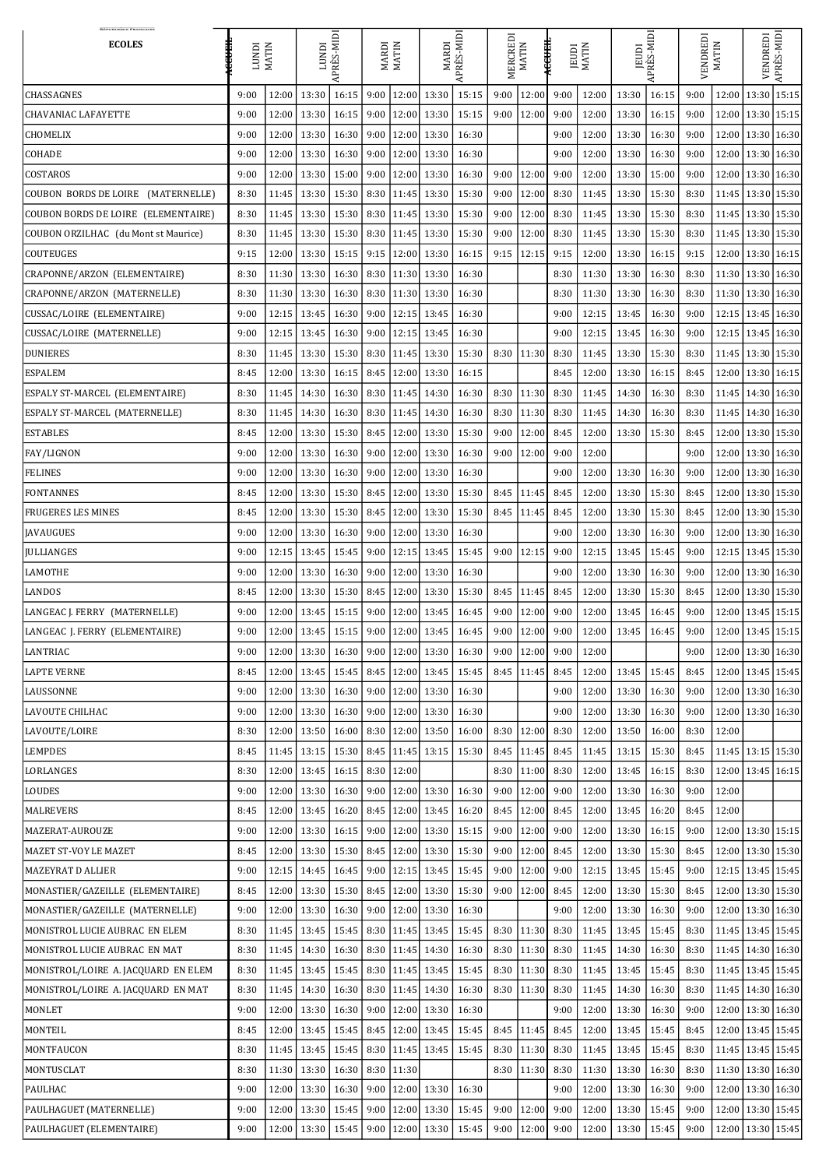| <b>RÉPUBLIQUE FRANÇAISI</b><br><b>ECOLES</b> | ₩₩<br><b>ICND1</b> | <b>MATIN</b> | LUNDI<br>APRÈS-MIDI                          |                                        | <b>MARDI</b><br>MATIN |                | PRÈS-MID<br><b>MARDI</b>                             |                | MERCREDI<br>MATIN |                | <b>HHHH</b><br><b>MATIN</b><br>JEUDI |                | JEUDI<br>LPRÈS-MIDI |                 | VENDREDI | <b>MATIN</b>                | VENDREDI              | APRÈS-MIDI |  |
|----------------------------------------------|--------------------|--------------|----------------------------------------------|----------------------------------------|-----------------------|----------------|------------------------------------------------------|----------------|-------------------|----------------|--------------------------------------|----------------|---------------------|-----------------|----------|-----------------------------|-----------------------|------------|--|
| <b>CHASSAGNES</b>                            | 9:00               | 12:00        | 13:30                                        | 16:15                                  |                       | $9:00$   12:00 | 13:30                                                | 15:15          | 9:00              | 12:00          | 9:00                                 | 12:00          | 13:30               | 16:15           | 9:00     | 12:00                       | 13:30 15:15           |            |  |
| <b>CHAVANIAC LAFAYETTE</b>                   | 9:00               | 12:00        | 13:30                                        | 16:15                                  |                       |                | $9:00$   12:00   13:30                               | 15:15          | 9:00              | 12:00          | 9:00                                 | 12:00          | 13:30               | 16:15           | 9:00     |                             | 12:00   13:30   15:15 |            |  |
| <b>CHOMELIX</b>                              | 9:00               | 12:00        | 13:30                                        | 16:30                                  |                       |                | $9:00$   12:00   13:30                               | 16:30          |                   |                | 9:00                                 | 12:00          | 13:30               | 16:30           | 9:00     |                             | 12:00   13:30   16:30 |            |  |
| <b>COHADE</b>                                | 9:00               | 12:00        | 13:30                                        | 16:30                                  |                       |                | $9:00$   12:00   13:30                               | 16:30          |                   |                | 9:00                                 | 12:00          | 13:30               | 16:30           | 9:00     |                             | 12:00   13:30   16:30 |            |  |
| COSTAROS                                     | 9:00               | 12:00        | 13:30                                        | 15:00                                  |                       |                | $9:00$   12:00   13:30                               | 16:30          | 9:00              | 12:00          | 9:00                                 | 12:00          | 13:30               | 15:00           | 9:00     |                             | 12:00   13:30   16:30 |            |  |
| COUBON BORDS DE LOIRE (MATERNELLE)           | 8:30               | 11:45        | 13:30                                        | 15:30                                  |                       | $8:30$   11:45 | 13:30                                                | 15:30          | 9:00              | 12:00          | 8:30                                 | 11:45          | 13:30               | 15:30           | 8:30     |                             | 11:45   13:30   15:30 |            |  |
| COUBON BORDS DE LOIRE (ELEMENTAIRE)          | 8:30               | 11:45        | 13:30                                        | 15:30                                  |                       | $8:30$   11:45 | 13:30                                                | 15:30          | 9:00              | 12:00          | 8:30                                 | 11:45          | 13:30               | 15:30           | 8:30     |                             | 11:45   13:30   15:30 |            |  |
| COUBON ORZILHAC (du Mont st Maurice)         | 8:30               | 11:45        | 13:30                                        | 15:30                                  |                       | $8:30$   11:45 | 13:30                                                | 15:30          | 9:00              | 12:00          | 8:30                                 | 11:45          | 13:30               | 15:30           | 8:30     |                             | 11:45   13:30   15:30 |            |  |
| <b>COUTEUGES</b>                             | 9:15               | 12:00        | 13:30                                        | 15:15   9:15   12:00   13:30           |                       |                |                                                      | 16:15          |                   | $9:15$   12:15 | 9:15                                 | 12:00          | 13:30               | 16:15           | 9:15     |                             | 12:00   13:30   16:15 |            |  |
| CRAPONNE/ARZON (ELEMENTAIRE)                 | 8:30               | 11:30        | 13:30                                        | 16:30                                  |                       |                | 8:30 11:30 13:30                                     | 16:30          |                   |                | 8:30                                 | 11:30          | 13:30               | 16:30           | 8:30     |                             | 11:30   13:30   16:30 |            |  |
| CRAPONNE/ARZON (MATERNELLE)                  | 8:30               | 11:30        | 13:30                                        | 16:30                                  |                       |                | $8:30$   11:30   13:30                               | 16:30          |                   |                | 8:30                                 | 11:30          | 13:30               | 16:30           | 8:30     | $11:30$   $13:30$   $16:30$ |                       |            |  |
| CUSSAC/LOIRE (ELEMENTAIRE)                   | 9:00               |              | 12:15 13:45                                  | 16:30                                  |                       |                | $9:00$   12:15   13:45                               | 16:30          |                   |                | 9:00                                 | 12:15          | 13:45               | 16:30           | 9:00     |                             | 12:15   13:45   16:30 |            |  |
| CUSSAC/LOIRE (MATERNELLE)                    | 9:00               | 12:15        | 13:45                                        | 16:30                                  |                       | $9:00$   12:15 | 13:45                                                | 16:30          |                   |                | 9:00                                 | 12:15          | 13:45               | 16:30           | 9:00     |                             | 12:15   13:45   16:30 |            |  |
| <b>DUNIERES</b>                              | 8:30               | 11:45        | 13:30                                        | 15:30                                  |                       |                | $8:30$   11:45   13:30                               | 15:30          |                   | $8:30$   11:30 | 8:30                                 | 11:45          | 13:30               | 15:30           | 8:30     | 11:45   13:30   15:30       |                       |            |  |
| <b>ESPALEM</b>                               | 8:45               | 12:00        | 13:30                                        | 16:15   8:45   12:00   13:30           |                       |                |                                                      | 16:15          |                   |                | 8:45                                 | 12:00          | 13:30               | 16:15           | 8:45     |                             | 12:00   13:30   16:15 |            |  |
| <b>ESPALY ST-MARCEL (ELEMENTAIRE)</b>        | 8:30               | 11:45        | 14:30                                        | 16:30                                  |                       |                | $8:30$   11:45   14:30                               | 16:30          |                   | 8:30   11:30   | 8:30                                 | 11:45          | 14:30               | 16:30           | 8:30     | 11:45   14:30   16:30       |                       |            |  |
| <b>ESPALY ST-MARCEL (MATERNELLE)</b>         | 8:30               | 11:45        | 14:30                                        | 16:30                                  |                       |                | $8:30$   11:45   14:30                               | 16:30          |                   | $8:30$   11:30 | 8:30                                 | 11:45          | 14:30               | 16:30           | 8:30     |                             | 11:45   14:30   16:30 |            |  |
| <b>ESTABLES</b>                              | 8:45               | 12:00        | 13:30                                        | 15:30   8:45   12:00   13:30           |                       |                |                                                      | 15:30          | 9:00              | 12:00          | 8:45                                 | 12:00          | 13:30               | 15:30           | 8:45     |                             | 12:00   13:30   15:30 |            |  |
| <b>FAY/LIGNON</b>                            | 9:00               | 12:00        | 13:30                                        | 16:30   9:00   12:00   13:30           |                       |                |                                                      | 16:30          | 9:00              | 12:00          | 9:00                                 | 12:00          |                     |                 | 9:00     |                             | 12:00   13:30   16:30 |            |  |
| <b>FELINES</b>                               | 9:00               | 12:00        |                                              |                                        |                       |                | $13:30$   16:30   9:00   12:00   13:30               | 16:30          |                   |                | 9:00                                 | 12:00          |                     | $13:30$   16:30 | 9:00     | $12:00$ 13:30 16:30         |                       |            |  |
| <b>FONTANNES</b>                             | 8:45               | 12:00        | 13:30                                        | $\mid$ 15:30   8:45   12:00   13:30    |                       |                |                                                      | 15:30          |                   | $8:45$   11:45 | 8:45                                 | 12:00          | 13:30               | 15:30           | 8:45     |                             | 12:00   13:30   15:30 |            |  |
| <b>FRUGERES LES MINES</b>                    | 8:45               | 12:00        |                                              |                                        |                       |                | 13:30   15:30   8:45   12:00   13:30                 | 15:30          |                   |                | $8:45$   11:45   8:45                | 12:00          |                     | $13:30$   15:30 | 8:45     | $12:00$   $13:30$   $15:30$ |                       |            |  |
| <b>JAVAUGUES</b>                             | 9:00               | 12:00        | 13:30                                        | $16:30$   9:00   12:00   13:30         |                       |                |                                                      | 16:30          |                   |                | 9:00                                 | 12:00          | 13:30               | 16:30           | 9:00     |                             | 12:00 13:30 16:30     |            |  |
| <b>JULLIANGES</b>                            | 9:00               | 12:15        | 13:45                                        | $15:45$   9:00   12:15   13:45         |                       |                |                                                      | 15:45          |                   | $9:00$   12:15 | 9:00                                 | 12:15          |                     | $13:45$   15:45 | 9:00     |                             | 12:15   13:45   15:30 |            |  |
| <b>LAMOTHE</b>                               | 9:00               | 12:00        |                                              | $13:30$   16:30   9:00   12:00   13:30 |                       |                |                                                      | 16:30          |                   |                | 9:00                                 | 12:00          | 13:30               | 16:30           | 9:00     | 12:00   13:30   16:30       |                       |            |  |
| LANDOS                                       | 8:45               | 12:00        | 13:30                                        | 15:30   8:45   12:00   13:30           |                       |                |                                                      | 15:30          |                   | $8:45$   11:45 | 8:45                                 | 12:00          | 13:30               | 15:30           | 8:45     |                             | 12:00   13:30   15:30 |            |  |
| LANGEAC J. FERRY (MATERNELLE)                | 9:00               | 12:00        | 13:45                                        |                                        |                       |                | 15:15   9:00   12:00   13:45                         | 16:45          |                   | $9:00$   12:00 | 9:00                                 | 12:00          | 13:45               | 16:45           | 9:00     |                             | 12:00   13:45   15:15 |            |  |
| LANGEAC J. FERRY (ELEMENTAIRE)               | 9:00               | 12:00        | 13:45                                        |                                        |                       |                | 15:15   9:00   12:00   13:45                         | 16:45          |                   | $9:00$   12:00 | 9:00                                 | 12:00          | 13:45               | 16:45           | 9:00     |                             | 12:00   13:45   15:15 |            |  |
| LANTRIAC                                     | 9:00               | 12:00        | 13:30                                        | 16:30                                  |                       |                | $\vert$ 9:00   12:00   13:30                         | 16:30          | 9:00              | 12:00          | 9:00                                 | 12:00          |                     |                 | 9:00     |                             | 12:00   13:30   16:30 |            |  |
| <b>LAPTE VERNE</b>                           | 8:45               | 12:00        | 13:45                                        |                                        |                       |                | 15:45   8:45   12:00   13:45                         | 15:45          |                   | $8:45$   11:45 | 8:45                                 | 12:00          | 13:45               | 15:45           | 8:45     |                             | 12:00   13:45   15:45 |            |  |
| <b>LAUSSONNE</b>                             | 9:00               | 12:00        | 13:30                                        | 16:30   9:00   12:00   13:30           |                       |                |                                                      | 16:30          |                   |                | 9:00                                 | 12:00          | 13:30               | 16:30           | 9:00     |                             | 12:00   13:30   16:30 |            |  |
| <b>LAVOUTE CHILHAC</b>                       | 9:00               | 12:00        | 13:30                                        | $\mid$ 16:30   9:00   12:00   13:30    |                       |                |                                                      | 16:30          |                   |                | 9:00                                 | 12:00          | 13:30               | 16:30           | 9:00     |                             | 12:00   13:30   16:30 |            |  |
| LAVOUTE/LOIRE                                | 8:30               |              | 12:00   13:50   16:00   8:30   12:00   13:50 |                                        |                       |                |                                                      | 16:00          |                   | $8:30$   12:00 | 8:30                                 | 12:00          | 13:50               | 16:00           | 8:30     | 12:00                       |                       |            |  |
| <b>LEMPDES</b>                               | 8:45               | 11:45        | 13:15                                        |                                        |                       |                | 15:30   8:45   11:45   13:15                         | 15:30          |                   |                | $8:45$   11:45   8:45                | 11:45          | 13:15               | 15:30           | 8:45     | $11:45$ 13:15 15:30         |                       |            |  |
| LORLANGES                                    | 8:30               | 12:00        | 13:45                                        | $16:15$   8:30   12:00                 |                       |                |                                                      |                |                   | $8:30$   11:00 | 8:30                                 | 12:00          |                     | $13:45$ 16:15   | 8:30     |                             | 12:00   13:45   16:15 |            |  |
| <b>LOUDES</b>                                | 9:00               | 12:00        | 13:30                                        | $\mid$ 16:30   9:00   12:00   13:30    |                       |                |                                                      | 16:30          |                   | $9:00$   12:00 | 9:00                                 | 12:00          | 13:30               | 16:30           | 9:00     | 12:00                       |                       |            |  |
| <b>MALREVERS</b>                             | 8:45               | 12:00        | 13:45                                        | 16:20                                  |                       |                | 8:45   12:00   13:45                                 | 16:20          |                   | $8:45$   12:00 | 8:45                                 | 12:00          | 13:45               | 16:20           | 8:45     | 12:00                       |                       |            |  |
| MAZERAT-AUROUZE                              | 9:00               | 12:00        | 13:30                                        | $\mid$ 16:15   9:00   12:00   13:30    |                       |                |                                                      | 15:15          |                   | $9:00$   12:00 | 9:00                                 | 12:00          | 13:30               | 16:15           | 9:00     |                             | 12:00   13:30   15:15 |            |  |
| <b>MAZET ST-VOY LE MAZET</b>                 | 8:45               | 12:00        | 13:30                                        | $15:30$   8:45   12:00   13:30         |                       |                |                                                      | 15:30          |                   | $9:00$   12:00 | 8:45                                 | 12:00          | 13:30               | 15:30           | 8:45     |                             | 12:00   13:30   15:30 |            |  |
| <b>MAZEYRAT D ALLIER</b>                     | 9:00               | 12:15        | 14:45                                        | $\mid$ 16:45   9:00   12:15   13:45    |                       |                |                                                      | 15:45          |                   | $9:00$   12:00 | 9:00                                 | 12:15          | 13:45               | 15:45           | 9:00     |                             | 12:15   13:45   15:45 |            |  |
| MONASTIER/GAZEILLE (ELEMENTAIRE)             | 8:45               | 12:00        | 13:30                                        | 15:30                                  |                       |                | $8:45$   12:00   13:30                               | 15:30          |                   | $9:00$   12:00 | 8:45                                 | 12:00          | 13:30               | 15:30           | 8:45     |                             | 12:00   13:30   15:30 |            |  |
| MONASTIER/GAZEILLE (MATERNELLE)              | 9:00               |              |                                              |                                        |                       |                | 12:00   13:30   16:30   9:00   12:00   13:30   16:30 |                |                   |                | 9:00                                 | 12:00          |                     | $13:30$   16:30 | 9:00     | 12:00 13:30 16:30           |                       |            |  |
| MONISTROL LUCIE AUBRAC EN ELEM               | 8:30               |              |                                              |                                        |                       |                | 11:45   13:45   15:45   8:30   11:45   13:45         | 15:45          |                   | $8:30$   11:30 |                                      | $8:30$   11:45 |                     | $13:45$   15:45 | 8:30     | $11:45$   13:45   15:45     |                       |            |  |
| MONISTROL LUCIE AUBRAC EN MAT                | 8:30               |              | $11:45$ 14:30                                |                                        |                       |                | 16:30   8:30   11:45   14:30                         | 16:30          |                   | $8:30$   11:30 | 8:30                                 | 11:45          | 14:30               | 16:30           | 8:30     | $11:45$   14:30   16:30     |                       |            |  |
| MONISTROL/LOIRE A. JACQUARD EN ELEM          | 8:30               |              | 11:45   13:45   15:45   8:30   11:45   13:45 |                                        |                       |                |                                                      | 15:45          |                   | $8:30$   11:30 | 8:30                                 | 11:45          |                     | $13:45$ 15:45   | 8:30     | 11:45   13:45   15:45       |                       |            |  |
| MONISTROL/LOIRE A. JACQUARD EN MAT           | 8:30               |              | 11:45   14:30   16:30   8:30   11:45   14:30 |                                        |                       |                |                                                      | 16:30          |                   | $8:30$   11:30 |                                      | $8:30$   11:45 |                     | $14:30$   16:30 | 8:30     | 11:45   14:30   16:30       |                       |            |  |
| MONLET                                       | 9:00               | 12:00        | 13:30                                        | $16:30$   9:00   12:00   13:30         |                       |                |                                                      | 16:30          |                   |                | 9:00                                 | 12:00          | 13:30               | 16:30           | 9:00     |                             | 12:00   13:30   16:30 |            |  |
| <b>MONTEIL</b>                               | 8:45               | 12:00        |                                              |                                        |                       |                | $13:45$   15:45   8:45   12:00   13:45               | 15:45          |                   |                | $8:45$ 11:45 8:45                    | 12:00          |                     | $13:45$ 15:45   | 8:45     |                             | 12:00 13:45 15:45     |            |  |
| MONTFAUCON                                   | 8:30               |              | 11:45   13:45                                |                                        |                       |                | 15:45   8:30   11:45   13:45                         | 15:45          |                   | $8:30$   11:30 | 8:30                                 | 11:45          | 13:45               | 15:45           | 8:30     | 11:45   13:45   15:45       |                       |            |  |
| MONTUSCLAT                                   | 8:30               |              | $11:30$ 13:30                                | $\mid$ 16:30   8:30   11:30            |                       |                |                                                      |                |                   | $8:30$   11:30 | 8:30                                 | 11:30          | 13:30               | 16:30           | 8:30     | 11:30   13:30   16:30       |                       |            |  |
| <b>PAULHAC</b>                               | 9:00               |              | 12:00   13:30   16:30   9:00   12:00   13:30 |                                        |                       |                |                                                      | 16:30          |                   |                | 9:00                                 | 12:00          |                     | $13:30$   16:30 | 9:00     | $12:00$   13:30   16:30     |                       |            |  |
| PAULHAGUET (MATERNELLE)                      |                    | 12:00        | 13:30                                        | $\mid$ 15:45   9:00   12:00   13:30    |                       |                |                                                      |                |                   | $9:00$   12:00 | 9:00                                 | 12:00          | 13:30               | 15:45           | 9:00     |                             | 12:00   13:30   15:45 |            |  |
|                                              | 9:00               | 12:00        |                                              | 13:30   15:45   9:00   12:00   13:30   |                       |                |                                                      | 15:45<br>15:45 |                   | $9:00$   12:00 | 9:00                                 |                |                     | 15:45           | 9:00     | 12:00 13:30 15:45           |                       |            |  |
| PAULHAGUET (ELEMENTAIRE)                     | 9:00               |              |                                              |                                        |                       |                |                                                      |                |                   |                |                                      | 12:00          | 13:30               |                 |          |                             |                       |            |  |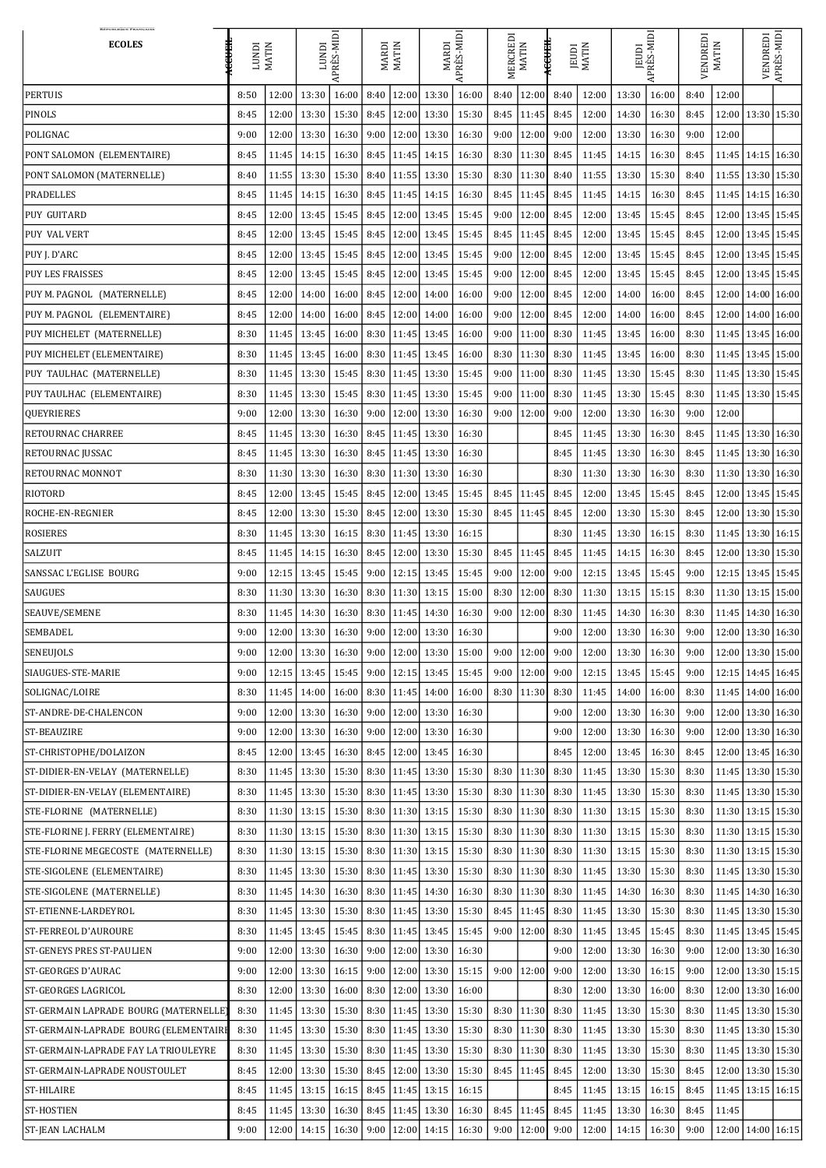| <b>RÉPUBLIQUE FRANÇAISE</b><br><b>ECOLES</b>                             | <b>HEACE</b><br><b>IUNDI</b> | <b>MATIN</b>   | APRÈS-MIDI<br>IUNDI                          |                        | <b>MARDI</b><br>MATIN |                | PRÈS-MIDI<br>MARDI                                   |                | MERCREDI<br><b>MATIN</b> |                                  | ∉₩₩<br><b>MATIN</b><br><b>JEUDI</b> |                               | JEUDI<br>LPRÈS-MIDI |                 | VENDREDI     | <b>MATIN</b>          | VENDREDI                                             | APRÈS-MIDI |
|--------------------------------------------------------------------------|------------------------------|----------------|----------------------------------------------|------------------------|-----------------------|----------------|------------------------------------------------------|----------------|--------------------------|----------------------------------|-------------------------------------|-------------------------------|---------------------|-----------------|--------------|-----------------------|------------------------------------------------------|------------|
| <b>PERTUIS</b>                                                           | 8:50                         | 12:00          | 13:30                                        | 16:00                  | 8:40                  | 12:00          | 13:30                                                | 16:00          | 8:40                     | 12:00                            | 8:40                                | 12:00                         | 13:30               | 16:00           | 8:40         | 12:00                 |                                                      |            |
| <b>PINOLS</b>                                                            | 8:45                         | 12:00          | 13:30                                        | $15:30$ 8:45           |                       | 12:00          | 13:30                                                | 15:30          |                          | $8:45$   11:45                   | 8:45                                | 12:00                         | 14:30               | 16:30           | 8:45         | 12:00                 | 13:30 15:30                                          |            |
| POLIGNAC                                                                 | 9:00                         | 12:00          | 13:30                                        | 16:30                  |                       | $9:00$   12:00 | 13:30                                                | 16:30          | 9:00                     | 12:00                            | 9:00                                | 12:00                         | 13:30               | 16:30           | 9:00         | 12:00                 |                                                      |            |
| PONT SALOMON (ELEMENTAIRE)                                               | 8:45                         | 11:45          | 14:15                                        | 16:30                  |                       | $8:45$   11:45 | 14:15                                                | 16:30          |                          | $8:30$   11:30                   | 8:45                                | 11:45                         | 14:15               | 16:30           | 8:45         |                       | 11:45   14:15   16:30                                |            |
| PONT SALOMON (MATERNELLE)                                                | 8:40                         | 11:55          | 13:30                                        | 15:30   8:40   11:55   |                       |                | 13:30                                                | 15:30          |                          | $8:30$   11:30                   | 8:40                                | 11:55                         | 13:30               | 15:30           | 8:40         |                       | 11:55   13:30   15:30                                |            |
| <b>PRADELLES</b>                                                         | 8:45                         | 11:45          | 14:15                                        | $16:30$   8:45   11:45 |                       |                | 14:15                                                | 16:30          |                          | $8:45$   11:45                   | 8:45                                | 11:45                         | 14:15               | 16:30           | 8:45         |                       | 11:45   14:15   16:30                                |            |
| <b>PUY GUITARD</b>                                                       | 8:45                         | 12:00          | 13:45                                        | $15:45$   8:45   12:00 |                       |                | 13:45                                                | 15:45          | 9:00                     | 12:00                            | 8:45                                | 12:00                         | 13:45               | 15:45           | 8:45         |                       | 12:00   13:45   15:45                                |            |
| <b>PUY VAL VERT</b>                                                      | 8:45                         | 12:00          | 13:45                                        | $15:45$   8:45   12:00 |                       |                | 13:45                                                | 15:45          |                          | $8:45$   11:45                   | 8:45                                | 12:00                         | 13:45               | 15:45           | 8:45         | 12:00                 | 13:45 15:45                                          |            |
| PUY J. D'ARC                                                             | 8:45                         | 12:00          | 13:45                                        | $15:45$   8:45   12:00 |                       |                | 13:45                                                | 15:45          |                          | $9:00$   12:00                   | 8:45                                | 12:00                         | 13:45               | 15:45           | 8:45         |                       | 12:00   13:45   15:45                                |            |
| <b>PUY LES FRAISSES</b>                                                  | 8:45                         | 12:00          | 13:45                                        | $15:45$   8:45   12:00 |                       |                | 13:45                                                | 15:45          | 9:00                     | 12:00                            | 8:45                                | 12:00                         | 13:45               | 15:45           | 8:45         |                       | 12:00   13:45   15:45                                |            |
| PUY M. PAGNOL (MATERNELLE)                                               | 8:45                         | 12:00          | 14:00                                        | 16:00                  |                       | $8:45$   12:00 | 14:00                                                | 16:00          |                          | $9:00$   12:00                   | 8:45                                | 12:00                         | 14:00               | 16:00           | 8:45         | 12:00                 | $14:00$   16:00                                      |            |
| PUY M. PAGNOL (ELEMENTAIRE)                                              | 8:45                         | 12:00          | 14:00                                        | $16:00$ 8:45           |                       | 12:00          | 14:00                                                | 16:00          | 9:00                     | 12:00                            | 8:45                                | 12:00                         | 14:00               | 16:00           | 8:45         |                       | 12:00   14:00   16:00                                |            |
| PUY MICHELET (MATERNELLE)                                                | 8:30                         | 11:45          | 13:45                                        | $16:00$   8:30   11:45 |                       |                | 13:45                                                | 16:00          |                          | $9:00$   11:00                   | 8:30                                | 11:45                         | 13:45               | 16:00           | 8:30         |                       | 11:45   13:45   16:00                                |            |
| PUY MICHELET (ELEMENTAIRE)                                               | 8:30                         | 11:45          | 13:45                                        | 16:00                  |                       | $8:30$   11:45 | 13:45                                                | 16:00          |                          | $8:30$   11:30                   | 8:30                                | 11:45                         | 13:45               | 16:00           | 8:30         |                       | 11:45   13:45   15:00                                |            |
| PUY TAULHAC (MATERNELLE)                                                 | 8:30                         | 11:45          | 13:30                                        | 15:45                  | 8:30                  | 11:45          | 13:30                                                | 15:45          | 9:00                     | 11:00                            | 8:30                                | 11:45                         | 13:30               | 15:45           | 8:30         |                       | 11:45   13:30   15:45                                |            |
| PUY TAULHAC (ELEMENTAIRE)                                                | 8:30                         | 11:45          | 13:30                                        | 15:45   8:30   11:45   |                       |                | 13:30                                                | 15:45          |                          | $9:00$   11:00                   | 8:30                                | 11:45                         | 13:30               | 15:45           | 8:30         |                       | 11:45   13:30   15:45                                |            |
| <b>QUEYRIERES</b>                                                        | 9:00                         | 12:00          | 13:30                                        | 16:30                  | 9:00                  | 12:00          | 13:30                                                | 16:30          | 9:00                     | 12:00                            | 9:00                                | 12:00                         | 13:30               | 16:30           | 9:00         | 12:00                 |                                                      |            |
| <b>RETOURNAC CHARREE</b>                                                 | 8:45                         | 11:45          | 13:30                                        | 16:30                  |                       | $8:45$   11:45 | 13:30                                                | 16:30          |                          |                                  | 8:45                                | 11:45                         | 13:30               | 16:30           | 8:45         |                       | 11:45   13:30   16:30                                |            |
| <b>RETOURNAC JUSSAC</b>                                                  | 8:45                         |                | 11:45   13:30                                |                        |                       |                | $\mid$ 16:30   8:45   11:45   13:30                  | 16:30          |                          |                                  | 8:45                                | 11:45                         | 13:30               | 16:30           | 8:45         | 11:45   13:30   16:30 |                                                      |            |
| <b>RETOURNAC MONNOT</b>                                                  | 8:30                         | 11:30          | 13:30                                        | $16:30$   8:30   11:30 |                       |                | 13:30                                                | 16:30          |                          |                                  | 8:30                                | 11:30                         | 13:30               | 16:30           | 8:30         |                       | 11:30   13:30   16:30                                |            |
| <b>RIOTORD</b>                                                           | 8:45                         | 12:00          | 13:45                                        | $15:45$   8:45   12:00 |                       |                | 13:45                                                | 15:45          |                          | $8:45$   11:45                   | 8:45                                | 12:00                         | 13:45               | 15:45           | 8:45         | 12:00                 | 13:45 15:45                                          |            |
| ROCHE-EN-REGNIER                                                         | 8:45                         |                | 12:00   13:30                                |                        |                       |                | 15:30   8:45   12:00   13:30                         | 15:30          |                          | $8:45$   11:45                   | 8:45                                | 12:00                         | 13:30               | 15:30           | 8:45         |                       | 12:00   13:30   15:30                                |            |
| <b>ROSIERES</b>                                                          | 8:30                         | 11:45          | 13:30                                        | $16:15$ 8:30   11:45   |                       |                | 13:30                                                | 16:15          |                          |                                  | 8:30                                | 11:45                         | 13:30               | 16:15           | 8:30         |                       | 11:45   13:30   16:15                                |            |
| <b>SALZUIT</b>                                                           | 8:45                         |                | $11:45$ 14:15                                |                        |                       |                | $\mid$ 16:30   8:45   12:00   13:30                  | 15:30          |                          | $8:45$   11:45                   | 8:45                                | 11:45                         | 14:15               | 16:30           | 8:45         |                       | 12:00   13:30   15:30                                |            |
| SANSSAC L'EGLISE BOURG                                                   | 9:00                         | 12:15          | 13:45                                        |                        |                       |                | 15:45   9:00   12:15   13:45                         | 15:45          |                          | $9:00$   12:00                   | 9:00                                | 12:15                         | 13:45               | 15:45           | 9:00         |                       | 12:15   13:45   15:45                                |            |
| <b>SAUGUES</b>                                                           | 8:30                         | 11:30          | 13:30                                        |                        |                       |                | 16:30   8:30   11:30   13:15                         | 15:00          |                          | $8:30$   12:00                   | 8:30                                | 11:30                         |                     | $13:15$ 15:15   | 8:30         |                       | $11:30$   $13:15$   $15:00$                          |            |
| SEAUVE/SEMENE                                                            | 8:30                         |                | 11:45 14:30                                  |                        |                       |                | 16:30   8:30   11:45   14:30                         | 16:30          |                          | $9:00$   12:00                   | 8:30                                | 11:45                         | 14:30               | 16:30           | 8:30         |                       | 11:45   14:30   16:30                                |            |
| <b>SEMBADEL</b>                                                          | 9:00                         | 12:00          | 13:30                                        | $16:30$   9:00   12:00 |                       |                | 13:30                                                | 16:30          |                          |                                  | 9:00                                | 12:00                         | 13:30               | 16:30           | 9:00         |                       | 12:00   13:30   16:30                                |            |
| <b>SENEUJOLS</b>                                                         | 9:00                         | 12:00          | 13:30                                        | $16:30$   9:00   12:00 |                       |                | 13:30                                                | 15:00          | 9:00                     | 12:00                            | 9:00                                | 12:00                         | 13:30               | 16:30           | 9:00         |                       | 12:00   13:30   15:00                                |            |
| SIAUGUES-STE-MARIE                                                       | 9:00                         | 12:15          | 13:45                                        | $15:45$   9:00   12:15 |                       |                | 13:45                                                | 15:45          |                          | $9:00$   12:00                   | 9:00                                | 12:15                         | 13:45               | 15:45           | 9:00         |                       | 12:15   14:45   16:45                                |            |
| SOLIGNAC/LOIRE                                                           | 8:30                         | 11:45          | 14:00                                        | $16:00$   8:30   11:45 |                       |                | 14:00                                                | 16:00          |                          | $8:30$   11:30                   | 8:30                                | 11:45                         | 14:00               | 16:00           | 8:30         |                       | $11:45$   $14:00$   $16:00$                          |            |
| ST-ANDRE-DE-CHALENCON                                                    | 9:00                         | 12:00          | 13:30                                        | $16:30$   9:00   12:00 |                       |                | 13:30                                                | 16:30          |                          |                                  | 9:00                                | 12:00                         | 13:30               | 16:30           | 9:00         |                       | 12:00   13:30   16:30                                |            |
| <b>ST-BEAUZIRE</b>                                                       | 9:00                         | 12:00          | 13:30                                        |                        |                       |                | 16:30   9:00   12:00   13:30                         | 16:30          |                          |                                  | 9:00                                | 12:00                         | 13:30               | 16:30           | 9:00         |                       | 12:00   13:30   16:30                                |            |
|                                                                          |                              |                |                                              |                        |                       |                |                                                      |                |                          |                                  |                                     |                               |                     |                 |              |                       |                                                      |            |
| ST-CHRISTOPHE/DOLAIZON                                                   | 8:45                         | 12:00          | 13:45                                        | $16:30$   8:45   12:00 |                       |                | 13:45                                                | 16:30          |                          |                                  | 8:45                                | 12:00                         | 13:45               | 16:30           | 8:45         |                       | 12:00   13:45   16:30                                |            |
| ST-DIDIER-EN-VELAY (MATERNELLE)                                          | 8:30                         | 11:45          | 13:30                                        |                        |                       |                | 15:30   8:30   11:45   13:30                         | 15:30          |                          | $8:30$   11:30                   | 8:30                                | 11:45                         | 13:30               | 15:30           | 8:30         |                       | 11:45   13:30   15:30                                |            |
| ST-DIDIER-EN-VELAY (ELEMENTAIRE)                                         | 8:30                         | 11:45          | 13:30                                        | $15:30$   8:30   11:45 |                       |                | 13:30                                                | 15:30          |                          | $8:30$   11:30                   | 8:30                                | 11:45                         | 13:30               | 15:30           | 8:30         |                       | 11:45   13:30   15:30                                |            |
| STE-FLORINE (MATERNELLE)                                                 | 8:30                         |                | 11:30   13:15                                |                        |                       |                | 15:30   8:30   11:30   13:15                         | 15:30          |                          | $8:30$   11:30                   | 8:30                                | 11:30                         | 13:15               | 15:30           | 8:30         |                       | $11:30$   $13:15$   $15:30$                          |            |
| STE-FLORINE J. FERRY (ELEMENTAIRE)<br>STE-FLORINE MEGECOSTE (MATERNELLE) | 8:30<br>8:30                 | 11:30<br>11:30 | 13:15<br>13:15                               | $15:30$   8:30   11:30 |                       |                | 15:30   8:30   11:30   13:15  <br>13:15              | 15:30<br>15:30 |                          | $8:30$   11:30<br>$8:30$   11:30 | 8:30<br>8:30                        | 11:30<br>11:30                | 13:15<br>13:15      | 15:30<br>15:30  | 8:30<br>8:30 |                       | 11:30   13:15   15:30<br>$11:30$   $13:15$   $15:30$ |            |
|                                                                          |                              |                |                                              |                        |                       |                |                                                      |                |                          |                                  |                                     |                               |                     |                 |              |                       |                                                      |            |
| STE-SIGOLENE (ELEMENTAIRE)                                               | 8:30                         |                | 11:45 13:30                                  |                        |                       |                | 15:30   8:30   11:45   13:30                         | 15:30          |                          | $8:30$   11:30                   | 8:30                                | 11:45                         | 13:30               | 15:30           | 8:30         |                       | 11:45   13:30   15:30                                |            |
| STE-SIGOLENE (MATERNELLE)                                                | 8:30                         | 11:45          | 14:30                                        |                        |                       |                | 16:30   8:30   11:45   14:30                         | 16:30          |                          | $8:30$   11:30                   | 8:30                                | 11:45                         | 14:30               | 16:30           | 8:30         |                       | 11:45   14:30   16:30                                |            |
| ST-ETIENNE-LARDEYROL                                                     | 8:30                         |                |                                              |                        |                       |                | 11:45   13:30   15:30   8:30   11:45   13:30   15:30 |                |                          |                                  |                                     | $8:45$   11:45   8:30   11:45 |                     | $13:30$   15:30 | 8:30         | 11:45 13:30 15:30     |                                                      |            |
| ST-FERREOL D'AUROURE                                                     | 8:30                         |                |                                              |                        |                       |                | 11:45   13:45   15:45   8:30   11:45   13:45   15:45 |                |                          | $9:00$   12:00                   | 8:30                                | 11:45                         |                     | $13:45$   15:45 | 8:30         | 11:45   13:45   15:45 |                                                      |            |
| <b>ST-GENEYS PRES ST-PAULIEN</b>                                         | 9:00                         | 12:00          | 13:30                                        | $16:30$   9:00   12:00 |                       |                | 13:30                                                | 16:30          |                          |                                  | 9:00                                | 12:00                         | 13:30               | 16:30           | 9:00         |                       | 12:00   13:30   16:30                                |            |
| <b>ST-GEORGES D'AURAC</b>                                                | 9:00                         |                |                                              |                        |                       |                | 12:00   13:30   16:15   9:00   12:00   13:30   15:15 |                |                          | $9:00$   12:00                   | 9:00                                | 12:00                         |                     | $13:30$   16:15 | 9:00         |                       | 12:00   13:30   15:15                                |            |
| <b>ST-GEORGES LAGRICOL</b>                                               | 8:30                         |                | 12:00   13:30   16:00   8:30   12:00   13:30 |                        |                       |                |                                                      | 16:00          |                          |                                  | 8:30                                | 12:00                         | 13:30               | 16:00           | 8:30         |                       | 12:00   13:30   16:00                                |            |
| ST-GERMAIN LAPRADE BOURG (MATERNELLE)                                    | 8:30                         |                |                                              |                        |                       |                | $11:45$   13:30   15:30   8:30   11:45   13:30       | 15:30          |                          | $8:30$   11:30                   | 8:30                                | 11:45                         |                     | $13:30$   15:30 | 8:30         |                       | 11:45   13:30   15:30                                |            |
| ST-GERMAIN-LAPRADE BOURG (ELEMENTAIRE                                    | 8:30                         |                |                                              |                        |                       |                | 11:45   13:30   15:30   8:30   11:45   13:30   15:30 |                |                          | $8:30$   11:30   8:30            |                                     | 11:45                         |                     | $13:30$   15:30 | 8:30         | 11:45   13:30   15:30 |                                                      |            |
| ST-GERMAIN-LAPRADE FAY LA TRIOULEYRE                                     | 8:30                         |                | $11:45$ 13:30                                |                        |                       |                | 15:30   8:30   11:45   13:30                         | 15:30          |                          | $8:30$   11:30                   | 8:30                                | 11:45                         | 13:30               | 15:30           | 8:30         |                       | 11:45   13:30   15:30                                |            |
| ST-GERMAIN-LAPRADE NOUSTOULET                                            | 8:45                         |                |                                              |                        |                       |                | 12:00   13:30   15:30   8:45   12:00   13:30         | 15:30          |                          | $8:45$   11:45   8:45            |                                     | 12:00                         | 13:30               | 15:30           | 8:45         |                       | 12:00   13:30   15:30                                |            |
| <b>ST-HILAIRE</b>                                                        | 8:45                         |                | $11:45$ 13:15                                |                        |                       |                | 16:15   8:45   11:45   13:15                         | 16:15          |                          |                                  | 8:45                                | 11:45                         |                     | $13:15$   16:15 | 8:45         |                       | 11:45   13:15   16:15                                |            |
| <b>ST-HOSTIEN</b>                                                        | 8:45                         | 11:45          | 13:30                                        | $16:30$   8:45   11:45 |                       |                | 13:30                                                | 16:30          |                          | $8:45$   11:45                   | 8:45                                | 11:45                         | 13:30               | 16:30           | 8:45         | 11:45                 |                                                      |            |
| <b>ST-JEAN LACHALM</b>                                                   | 9:00                         | 12:00          | 14:15                                        |                        |                       |                | $\mid$ 16:30   9:00   12:00   14:15                  | 16:30          |                          | $9:00$   12:00                   | 9:00                                | 12:00                         | 14:15               | 16:30           | 9:00         |                       | 12:00   14:00   16:15                                |            |